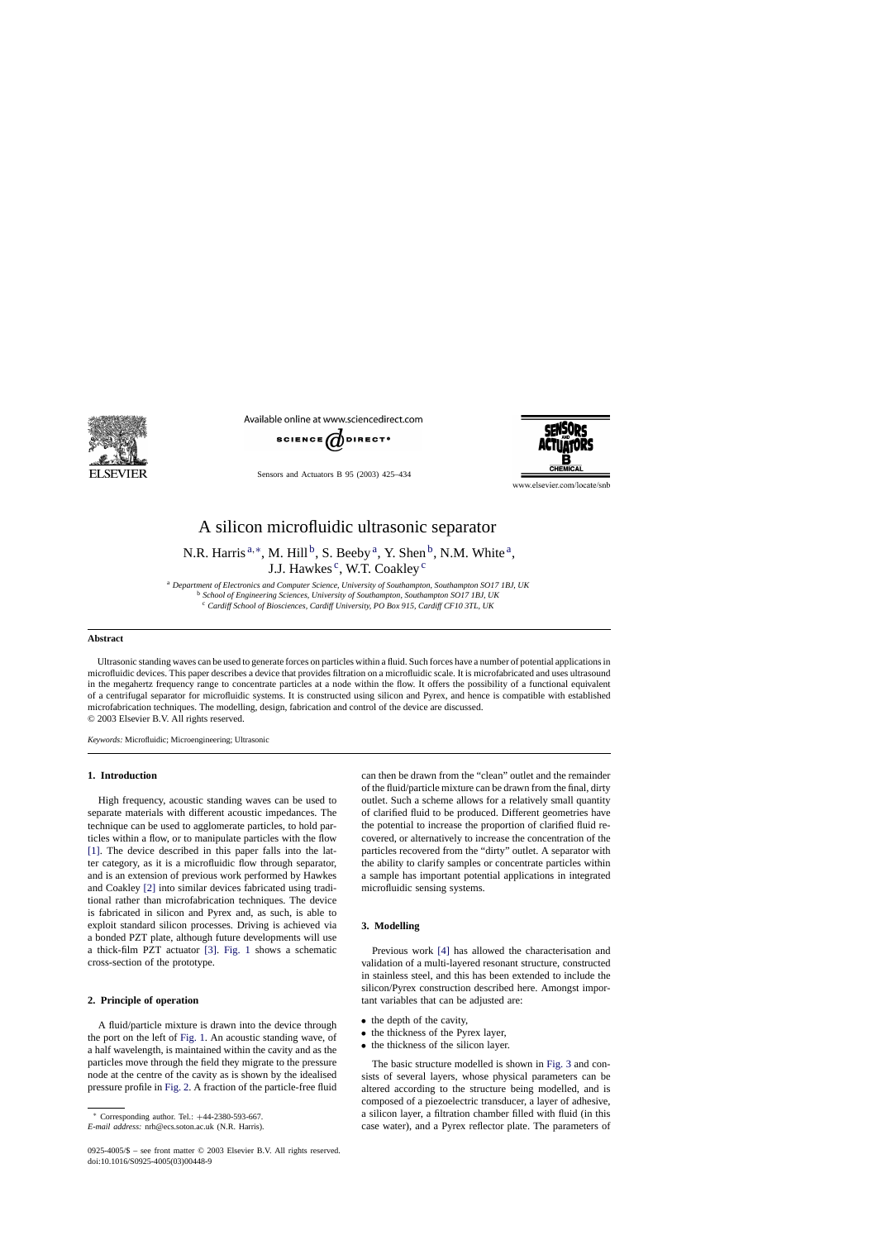

Available online at www.sciencedirect.com



Sensors and Actuators B 95 (2003) 425–434



www.elsevier.com/locate/snb

# A silicon microfluidic ultrasonic separator

N.R. Harris<sup>a,\*</sup>, M. Hill<sup>b</sup>, S. Beeby<sup>a</sup>, Y. Shen<sup>b</sup>, N.M. White<sup>a</sup>, J.J. Hawkes<sup>c</sup>, W.T. Coakley<sup>c</sup>

<sup>a</sup> *Department of Electronics and Computer Science, University of Southampton, Southampton SO17 1BJ, UK* <sup>b</sup> *School of Engineering Sciences, University of Southampton, Southampton SO17 1BJ, UK* <sup>c</sup> *Cardiff School of Biosciences, Cardiff University, PO Box 915, Cardiff CF10 3TL, UK*

#### **Abstract**

Ultrasonic standing waves can be used to generate forces on particles within a fluid. Such forces have a number of potential applications in microfluidic devices. This paper describes a device that provides filtration on a microfluidic scale. It is microfabricated and uses ultrasound in the megahertz frequency range to concentrate particles at a node within the flow. It offers the possibility of a functional equivalent of a centrifugal separator for microfluidic systems. It is constructed using silicon and Pyrex, and hence is compatible with established microfabrication techniques. The modelling, design, fabrication and control of the device are discussed. © 2003 Elsevier B.V. All rights reserved.

*Keywords:* Microfluidic; Microengineering; Ultrasonic

## **1. Introduction**

High frequency, acoustic standing waves can be used to separate materials with different acoustic impedances. The technique can be used to agglomerate particles, to hold particles within a flow, or to manipulate particles with the flow [\[1\].](#page-8-0) The device described in this paper falls into the latter category, as it is a microfluidic flow through separator, and is an extension of previous work performed by Hawkes and Coakley [\[2\]](#page-8-0) into similar devices fabricated using traditional rather than microfabrication techniques. The device is fabricated in silicon and Pyrex and, as such, is able to exploit standard silicon processes. Driving is achieved via a bonded PZT plate, although future developments will use a thick-film PZT actuator [\[3\].](#page-8-0) [Fig. 1](#page-1-0) shows a schematic cross-section of the prototype.

# **2. Principle of operation**

A fluid/particle mixture is drawn into the device through the port on the left of [Fig. 1.](#page-1-0) An acoustic standing wave, of a half wavelength, is maintained within the cavity and as the particles move through the field they migrate to the pressure node at the centre of the cavity as is shown by the idealised pressure profile in [Fig. 2. A](#page-1-0) fraction of the particle-free fluid

0925-4005/\$ – see front matter © 2003 Elsevier B.V. All rights reserved. doi:10.1016/S0925-4005(03)00448-9

can then be drawn from the "clean" outlet and the remainder of the fluid/particle mixture can be drawn from the final, dirty outlet. Such a scheme allows for a relatively small quantity of clarified fluid to be produced. Different geometries have the potential to increase the proportion of clarified fluid recovered, or alternatively to increase the concentration of the particles recovered from the "dirty" outlet. A separator with the ability to clarify samples or concentrate particles within a sample has important potential applications in integrated microfluidic sensing systems.

# **3. Modelling**

Previous work [\[4\]](#page-8-0) has allowed the characterisation and validation of a multi-layered resonant structure, constructed in stainless steel, and this has been extended to include the silicon/Pyrex construction described here. Amongst important variables that can be adjusted are:

- the depth of the cavity,
- the thickness of the Pyrex layer,
- the thickness of the silicon layer.

The basic structure modelled is shown in [Fig. 3](#page-1-0) and consists of several layers, whose physical parameters can be altered according to the structure being modelled, and is composed of a piezoelectric transducer, a layer of adhesive, a silicon layer, a filtration chamber filled with fluid (in this case water), and a Pyrex reflector plate. The parameters of

<sup>∗</sup> Corresponding author. Tel.: +44-2380-593-667.

*E-mail address:* nrh@ecs.soton.ac.uk (N.R. Harris).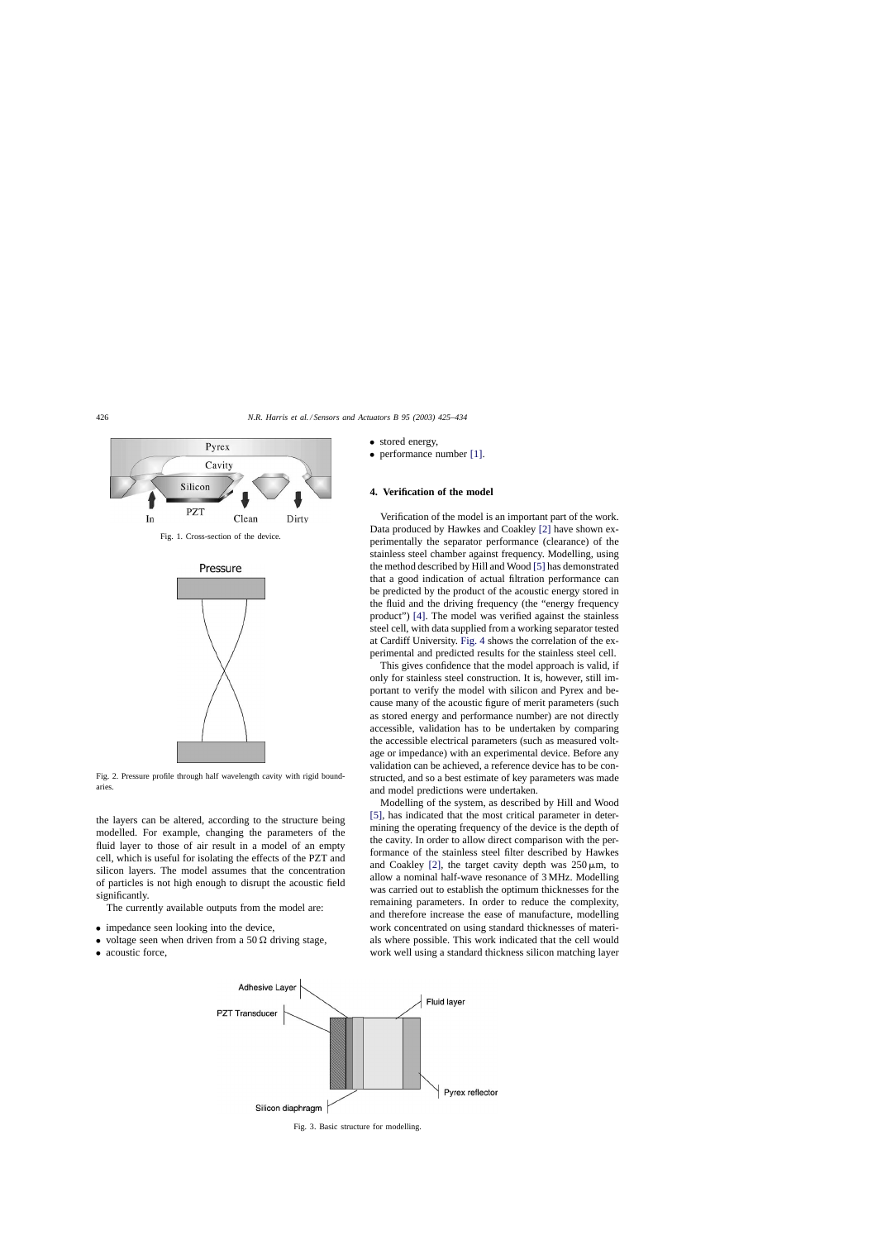<span id="page-1-0"></span>

Fig. 1. Cross-section of the device.



Fig. 2. Pressure profile through half wavelength cavity with rigid boundaries.

the layers can be altered, according to the structure being modelled. For example, changing the parameters of the fluid layer to those of air result in a model of an empty cell, which is useful for isolating the effects of the PZT and silicon layers. The model assumes that the concentration of particles is not high enough to disrupt the acoustic field significantly.

The currently available outputs from the model are:

- impedance seen looking into the device,
- voltage seen when driven from a 50  $\Omega$  driving stage,
- acoustic force,
- stored energy,
- performance number [\[1\].](#page-8-0)

## **4. Verification of the model**

Verification of the model is an important part of the work. Data produced by Hawkes and Coakley [\[2\]](#page-8-0) have shown experimentally the separator performance (clearance) of the stainless steel chamber against frequency. Modelling, using the method described by Hill and Wood [\[5\]](#page-8-0) has demonstrated that a good indication of actual filtration performance can be predicted by the product of the acoustic energy stored in the fluid and the driving frequency (the "energy frequency product") [\[4\].](#page-8-0) The model was verified against the stainless steel cell, with data supplied from a working separator tested at Cardiff University. [Fig. 4](#page-2-0) shows the correlation of the experimental and predicted results for the stainless steel cell.

This gives confidence that the model approach is valid, if only for stainless steel construction. It is, however, still important to verify the model with silicon and Pyrex and because many of the acoustic figure of merit parameters (such as stored energy and performance number) are not directly accessible, validation has to be undertaken by comparing the accessible electrical parameters (such as measured voltage or impedance) with an experimental device. Before any validation can be achieved, a reference device has to be constructed, and so a best estimate of key parameters was made and model predictions were undertaken.

Modelling of the system, as described by Hill and Wood [\[5\],](#page-8-0) has indicated that the most critical parameter in determining the operating frequency of the device is the depth of the cavity. In order to allow direct comparison with the performance of the stainless steel filter described by Hawkes and Coakley [\[2\],](#page-8-0) the target cavity depth was  $250 \,\mu m$ , to allow a nominal half-wave resonance of 3 MHz. Modelling was carried out to establish the optimum thicknesses for the remaining parameters. In order to reduce the complexity, and therefore increase the ease of manufacture, modelling work concentrated on using standard thicknesses of materials where possible. This work indicated that the cell would work well using a standard thickness silicon matching layer



Fig. 3. Basic structure for modelling.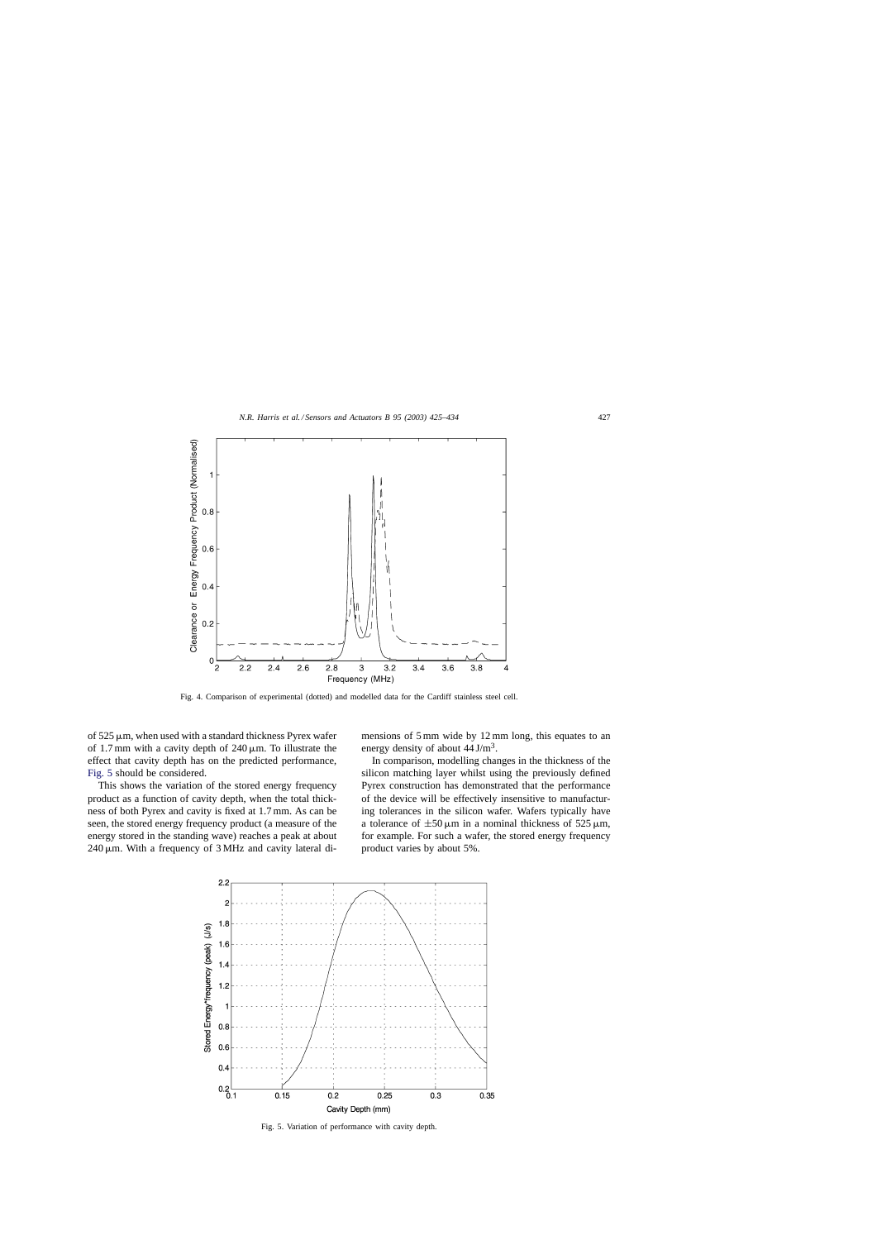<span id="page-2-0"></span>

Fig. 4. Comparison of experimental (dotted) and modelled data for the Cardiff stainless steel cell.

of  $525 \mu m$ , when used with a standard thickness Pyrex wafer of 1.7 mm with a cavity depth of  $240 \mu m$ . To illustrate the effect that cavity depth has on the predicted performance, Fig. 5 should be considered.

This shows the variation of the stored energy frequency product as a function of cavity depth, when the total thickness of both Pyrex and cavity is fixed at 1.7 mm. As can be seen, the stored energy frequency product (a measure of the energy stored in the standing wave) reaches a peak at about  $240 \,\mu$ m. With a frequency of  $3 \,\text{MHz}$  and cavity lateral dimensions of 5 mm wide by 12 mm long, this equates to an energy density of about  $44 \text{ J/m}^3$ .

In comparison, modelling changes in the thickness of the silicon matching layer whilst using the previously defined Pyrex construction has demonstrated that the performance of the device will be effectively insensitive to manufacturing tolerances in the silicon wafer. Wafers typically have a tolerance of  $\pm 50 \,\mu \text{m}$  in a nominal thickness of 525  $\mu$ m, for example. For such a wafer, the stored energy frequency product varies by about 5%.



Fig. 5. Variation of performance with cavity depth.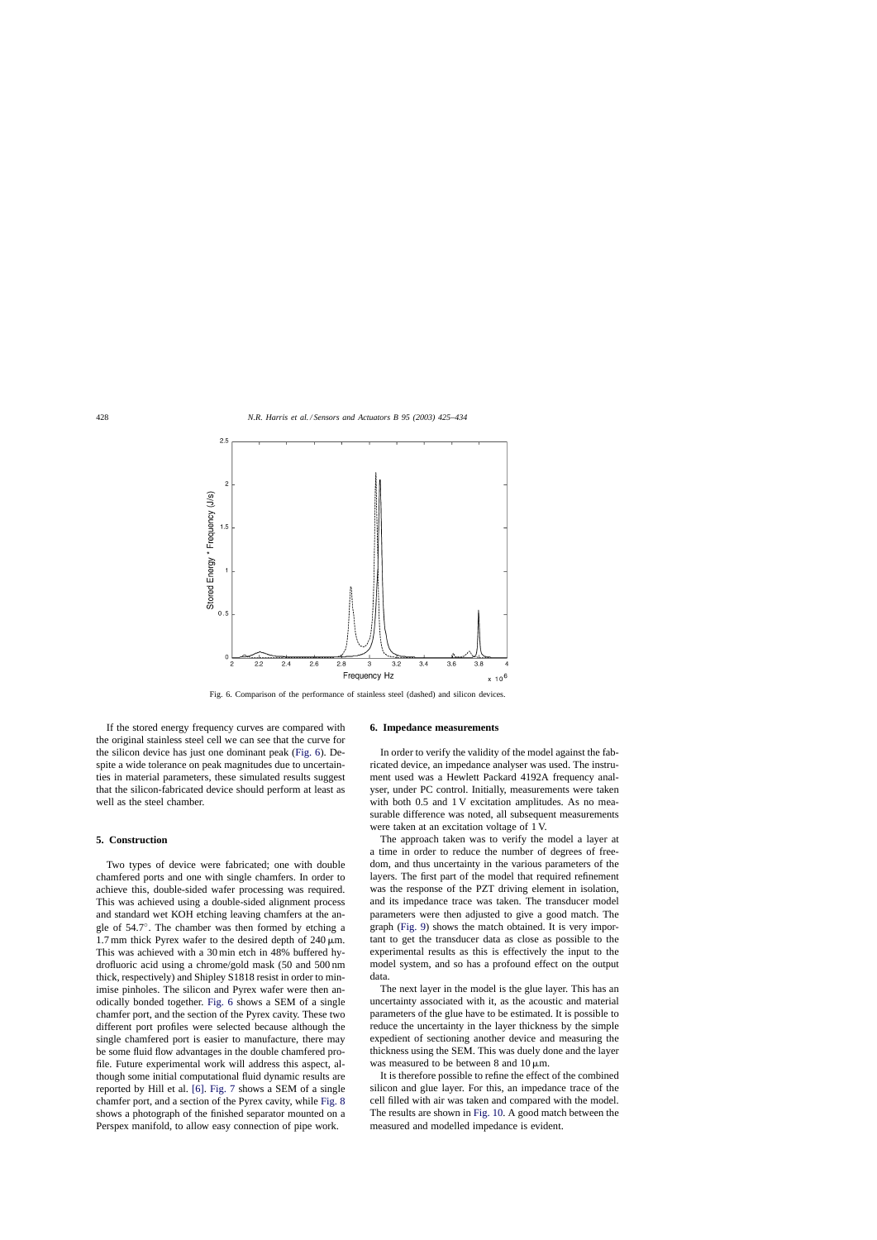<span id="page-3-0"></span>

Fig. 6. Comparison of the performance of stainless steel (dashed) and silicon devices.

If the stored energy frequency curves are compared with the original stainless steel cell we can see that the curve for the silicon device has just one dominant peak (Fig. 6). Despite a wide tolerance on peak magnitudes due to uncertainties in material parameters, these simulated results suggest that the silicon-fabricated device should perform at least as well as the steel chamber.

# **5. Construction**

Two types of device were fabricated; one with double chamfered ports and one with single chamfers. In order to achieve this, double-sided wafer processing was required. This was achieved using a double-sided alignment process and standard wet KOH etching leaving chamfers at the angle of 54.7◦. The chamber was then formed by etching a 1.7 mm thick Pyrex wafer to the desired depth of  $240 \mu m$ . This was achieved with a 30 min etch in 48% buffered hydrofluoric acid using a chrome/gold mask (50 and 500 nm thick, respectively) and Shipley S1818 resist in order to minimise pinholes. The silicon and Pyrex wafer were then anodically bonded together. Fig. 6 shows a SEM of a single chamfer port, and the section of the Pyrex cavity. These two different port profiles were selected because although the single chamfered port is easier to manufacture, there may be some fluid flow advantages in the double chamfered profile. Future experimental work will address this aspect, although some initial computational fluid dynamic results are reported by Hill et al. [\[6\].](#page-8-0) [Fig. 7](#page-4-0) shows a SEM of a single chamfer port, and a section of the Pyrex cavity, while [Fig. 8](#page-4-0) shows a photograph of the finished separator mounted on a Perspex manifold, to allow easy connection of pipe work.

#### **6. Impedance measurements**

In order to verify the validity of the model against the fabricated device, an impedance analyser was used. The instrument used was a Hewlett Packard 4192A frequency analyser, under PC control. Initially, measurements were taken with both 0.5 and 1 V excitation amplitudes. As no measurable difference was noted, all subsequent measurements were taken at an excitation voltage of 1 V.

The approach taken was to verify the model a layer at a time in order to reduce the number of degrees of freedom, and thus uncertainty in the various parameters of the layers. The first part of the model that required refinement was the response of the PZT driving element in isolation, and its impedance trace was taken. The transducer model parameters were then adjusted to give a good match. The graph ([Fig. 9\)](#page-5-0) shows the match obtained. It is very important to get the transducer data as close as possible to the experimental results as this is effectively the input to the model system, and so has a profound effect on the output data.

The next layer in the model is the glue layer. This has an uncertainty associated with it, as the acoustic and material parameters of the glue have to be estimated. It is possible to reduce the uncertainty in the layer thickness by the simple expedient of sectioning another device and measuring the thickness using the SEM. This was duely done and the layer was measured to be between 8 and  $10 \mu m$ .

It is therefore possible to refine the effect of the combined silicon and glue layer. For this, an impedance trace of the cell filled with air was taken and compared with the model. The results are shown in [Fig. 10. A](#page-5-0) good match between the measured and modelled impedance is evident.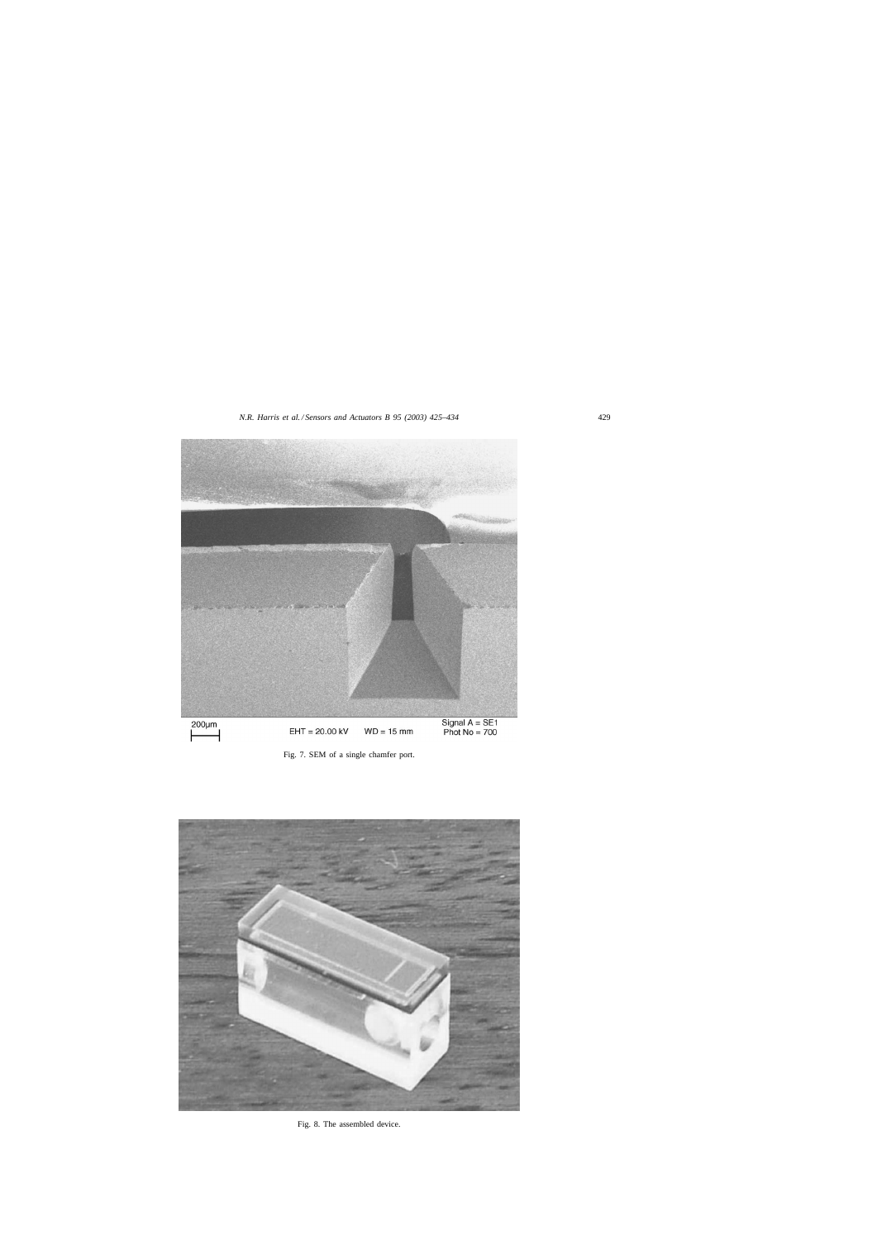<span id="page-4-0"></span>

Fig. 7. SEM of a single chamfer port.



Fig. 8. The assembled device.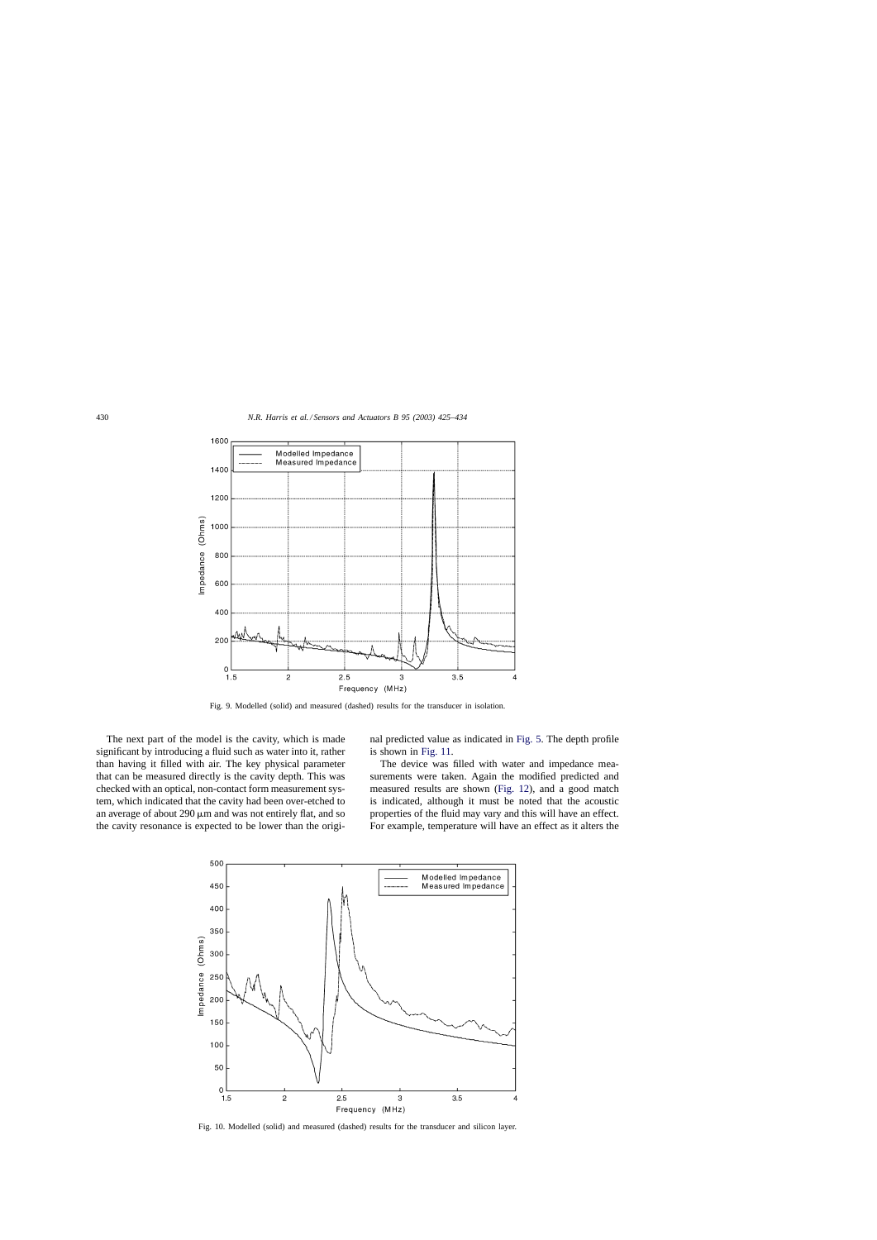<span id="page-5-0"></span>

Fig. 9. Modelled (solid) and measured (dashed) results for the transducer in isolation.

The next part of the model is the cavity, which is made significant by introducing a fluid such as water into it, rather than having it filled with air. The key physical parameter that can be measured directly is the cavity depth. This was checked with an optical, non-contact form measurement system, which indicated that the cavity had been over-etched to an average of about  $290 \mu m$  and was not entirely flat, and so the cavity resonance is expected to be lower than the original predicted value as indicated in [Fig. 5.](#page-2-0) The depth profile is shown in [Fig. 11.](#page-6-0)

The device was filled with water and impedance measurements were taken. Again the modified predicted and measured results are shown [\(Fig. 12\),](#page-6-0) and a good match is indicated, although it must be noted that the acoustic properties of the fluid may vary and this will have an effect. For example, temperature will have an effect as it alters the



Fig. 10. Modelled (solid) and measured (dashed) results for the transducer and silicon layer.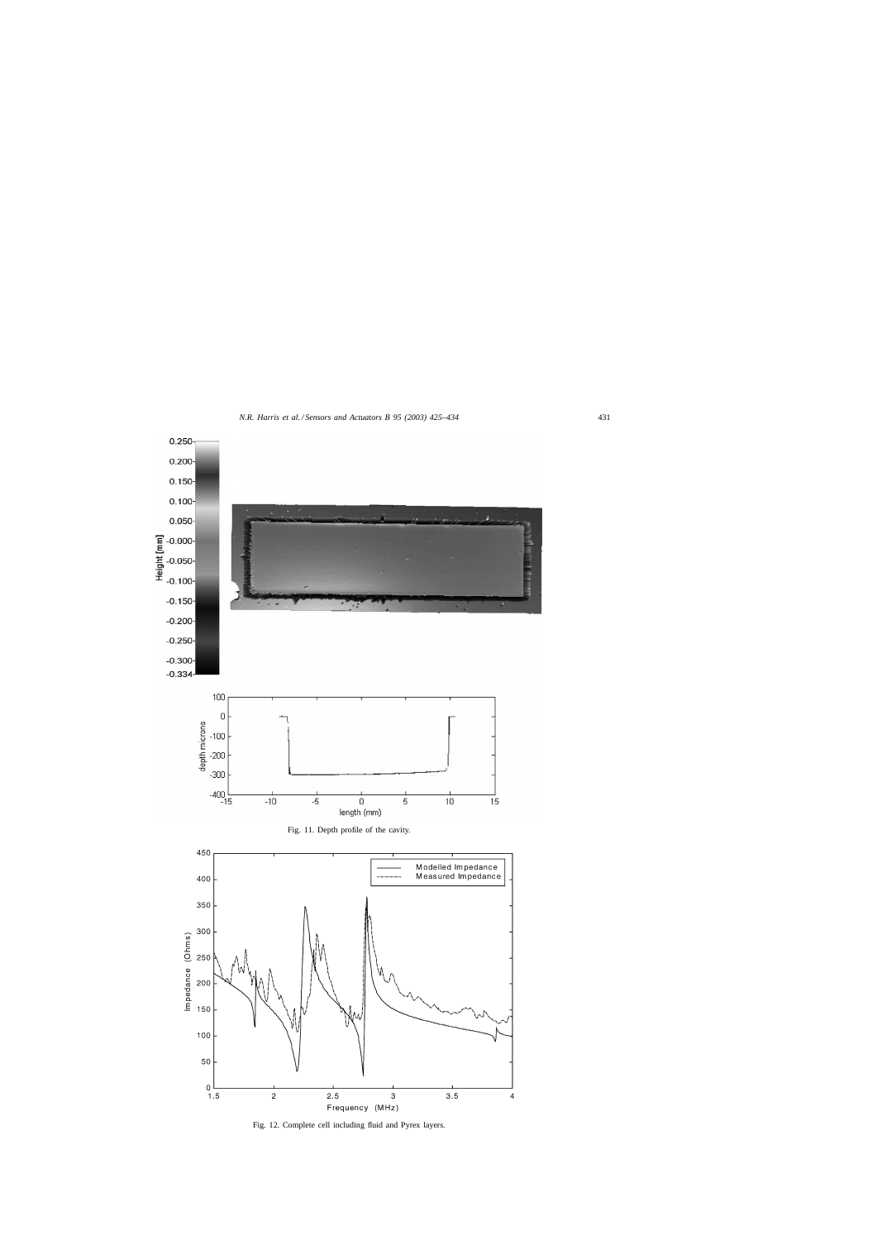<span id="page-6-0"></span>

Fig. 12. Complete cell including fluid and Pyrex layers.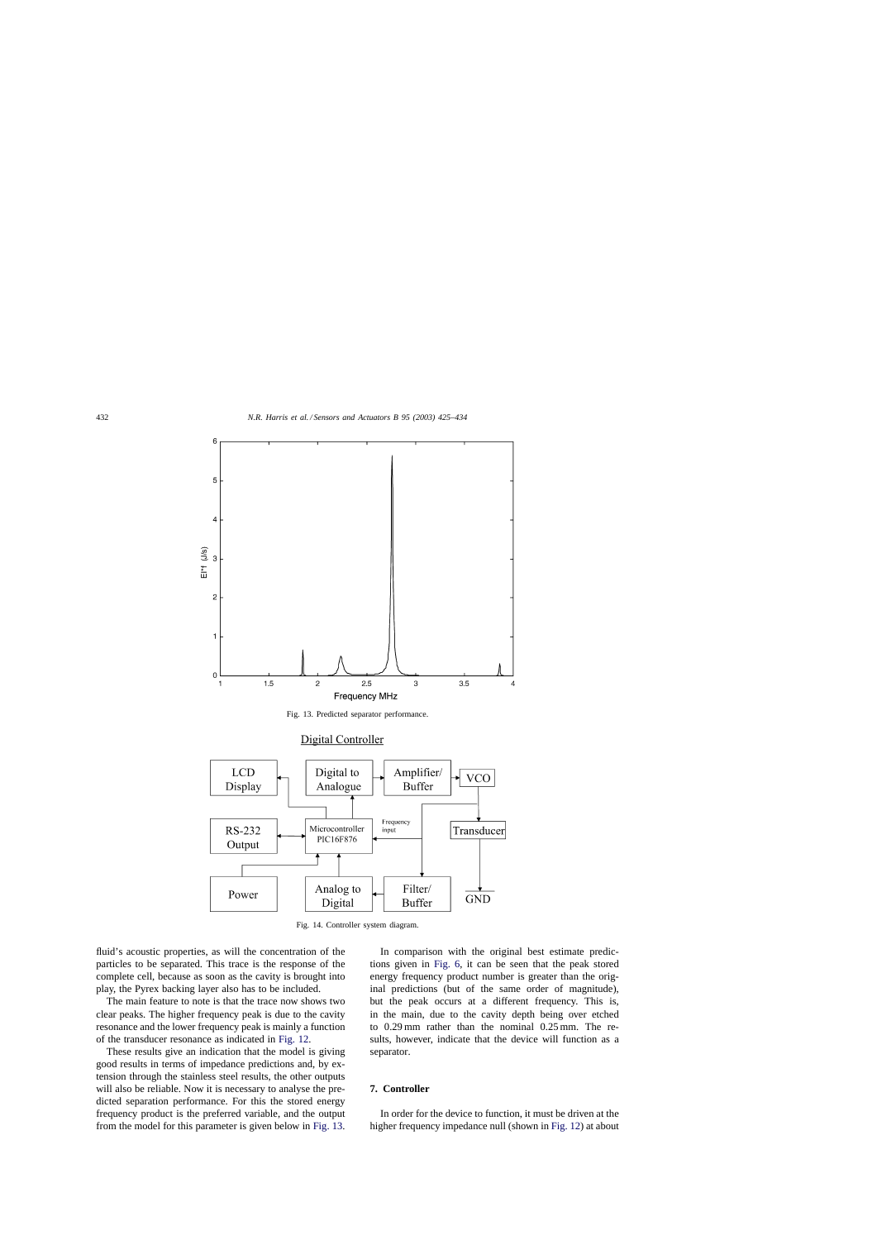<span id="page-7-0"></span>

Fig. 14. Controller system diagram.

fluid's acoustic properties, as will the concentration of the particles to be separated. This trace is the response of the complete cell, because as soon as the cavity is brought into play, the Pyrex backing layer also has to be included.

The main feature to note is that the trace now shows two clear peaks. The higher frequency peak is due to the cavity resonance and the lower frequency peak is mainly a function of the transducer resonance as indicated in [Fig. 12.](#page-6-0)

These results give an indication that the model is giving good results in terms of impedance predictions and, by extension through the stainless steel results, the other outputs will also be reliable. Now it is necessary to analyse the predicted separation performance. For this the stored energy frequency product is the preferred variable, and the output from the model for this parameter is given below in Fig. 13.

In comparison with the original best estimate predictions given in [Fig. 6,](#page-3-0) it can be seen that the peak stored energy frequency product number is greater than the original predictions (but of the same order of magnitude), but the peak occurs at a different frequency. This is, in the main, due to the cavity depth being over etched to 0.29 mm rather than the nominal 0.25 mm. The results, however, indicate that the device will function as a separator.

# **7. Controller**

In order for the device to function, it must be driven at the higher frequency impedance null (shown in [Fig. 12\)](#page-6-0) at about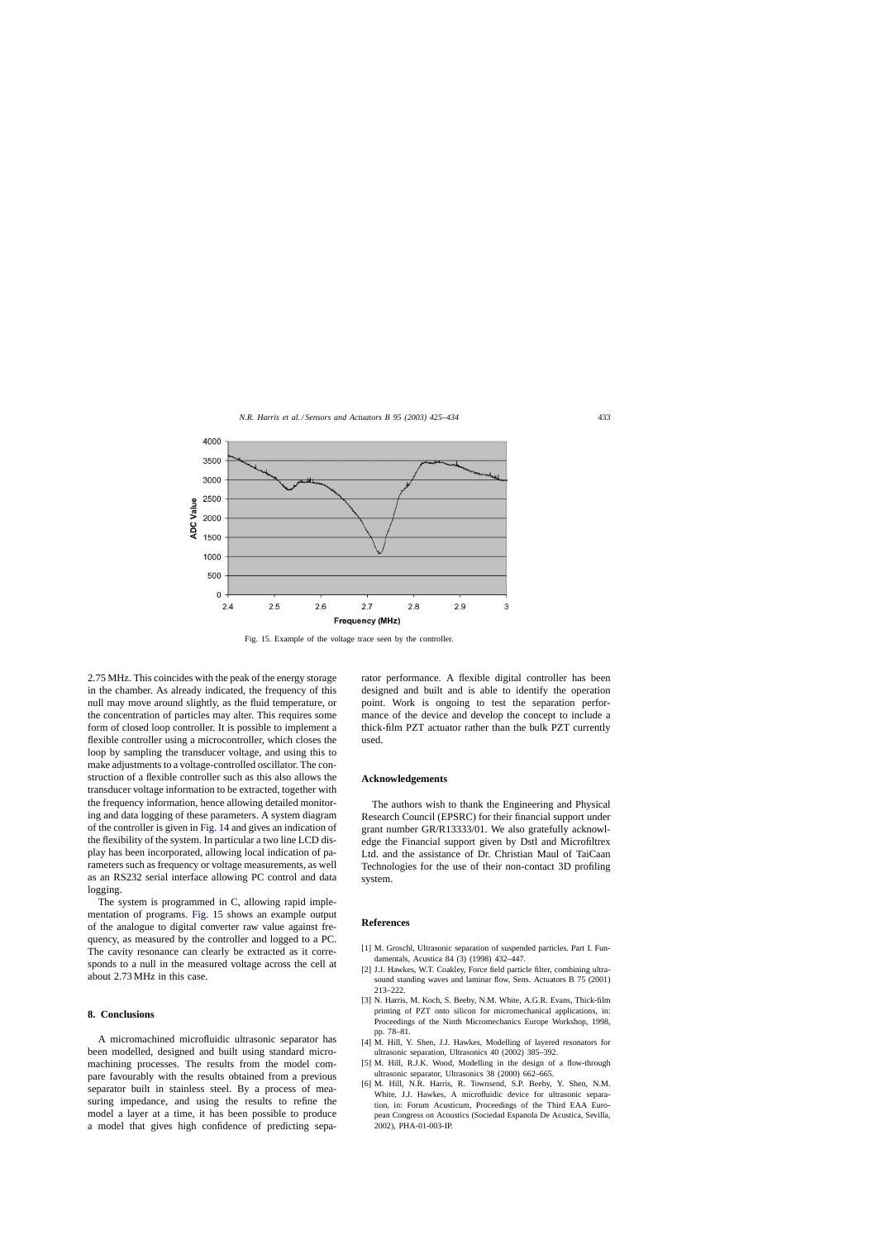<span id="page-8-0"></span>

Fig. 15. Example of the voltage trace seen by the controller.

2.75 MHz. This coincides with the peak of the energy storage in the chamber. As already indicated, the frequency of this null may move around slightly, as the fluid temperature, or the concentration of particles may alter. This requires some form of closed loop controller. It is possible to implement a flexible controller using a microcontroller, which closes the loop by sampling the transducer voltage, and using this to make adjustments to a voltage-controlled oscillator. The construction of a flexible controller such as this also allows the transducer voltage information to be extracted, together with the frequency information, hence allowing detailed monitoring and data logging of these parameters. A system diagram of the controller is given in [Fig. 14](#page-7-0) and gives an indication of the flexibility of the system. In particular a two line LCD display has been incorporated, allowing local indication of parameters such as frequency or voltage measurements, as well as an RS232 serial interface allowing PC control and data logging.

The system is programmed in C, allowing rapid implementation of programs. Fig. 15 shows an example output of the analogue to digital converter raw value against frequency, as measured by the controller and logged to a PC. The cavity resonance can clearly be extracted as it corresponds to a null in the measured voltage across the cell at about 2.73 MHz in this case.

#### **8. Conclusions**

A micromachined microfluidic ultrasonic separator has been modelled, designed and built using standard micromachining processes. The results from the model compare favourably with the results obtained from a previous separator built in stainless steel. By a process of measuring impedance, and using the results to refine the model a layer at a time, it has been possible to produce a model that gives high confidence of predicting separator performance. A flexible digital controller has been designed and built and is able to identify the operation point. Work is ongoing to test the separation performance of the device and develop the concept to include a thick-film PZT actuator rather than the bulk PZT currently used.

# **Acknowledgements**

The authors wish to thank the Engineering and Physical Research Council (EPSRC) for their financial support under grant number GR/R13333/01. We also gratefully acknowledge the Financial support given by Dstl and Microfiltrex Ltd. and the assistance of Dr. Christian Maul of TaiCaan Technologies for the use of their non-contact 3D profiling system.

### **References**

- [1] M. Groschl, Ultrasonic separation of suspended particles. Part I. Fundamentals, Acustica 84 (3) (1998) 432–447.
- [2] J.J. Hawkes, W.T. Coakley, Force field particle filter, combining ultrasound standing waves and laminar flow, Sens. Actuators B 75 (2001) 213–222.
- [3] N. Harris, M. Koch, S. Beeby, N.M. White, A.G.R. Evans, Thick-film printing of PZT onto silicon for micromechanical applications, in: Proceedings of the Ninth Micromechanics Europe Workshop, 1998, pp. 78–81.
- [4] M. Hill, Y. Shen, J.J. Hawkes, Modelling of layered resonators for ultrasonic separation, Ultrasonics 40 (2002) 385–392.
- [5] M. Hill, R.J.K. Wood, Modelling in the design of a flow-through ultrasonic separator, Ultrasonics 38 (2000) 662–665.
- [6] M. Hill, N.R. Harris, R. Townsend, S.P. Beeby, Y. Shen, N.M. White, J.J. Hawkes, A microfluidic device for ultrasonic separation, in: Forum Acusticum, Proceedings of the Third EAA European Congress on Acoustics (Sociedad Espanola De Acustica, Sevilla, 2002), PHA-01-003-IP.